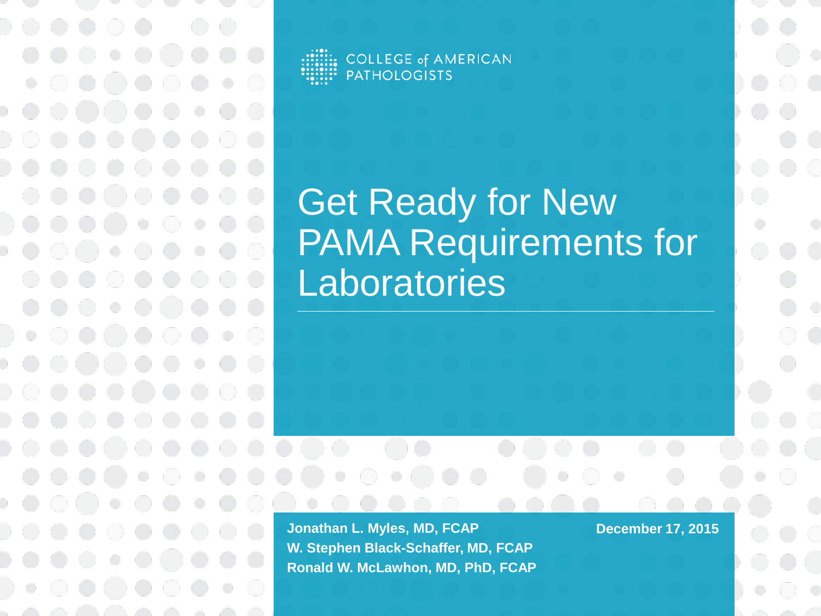**COLLEGE of AMERICAN PATHOLOGISTS** 

### Get Ready for New PAMA Requirements for Laboratories

**Jonathan L. Myles, MD, FCAP W. Stephen Black-Schaffer, MD, FCAP Ronald W. McLawhon, MD, PhD, FCAP** **December 17, 2015**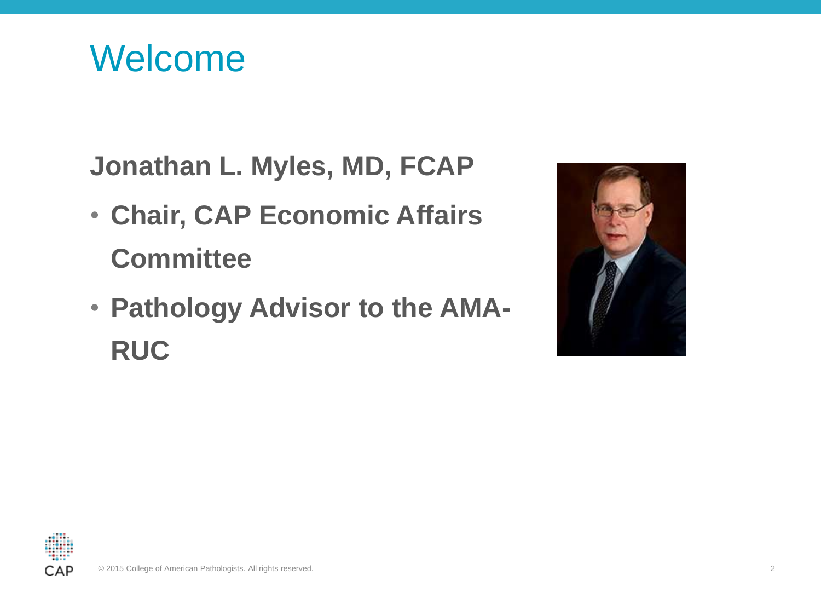Welcome

**Jonathan L. Myles, MD, FCAP**

- **Chair, CAP Economic Affairs Committee**
- **Pathology Advisor to the AMA-RUC**



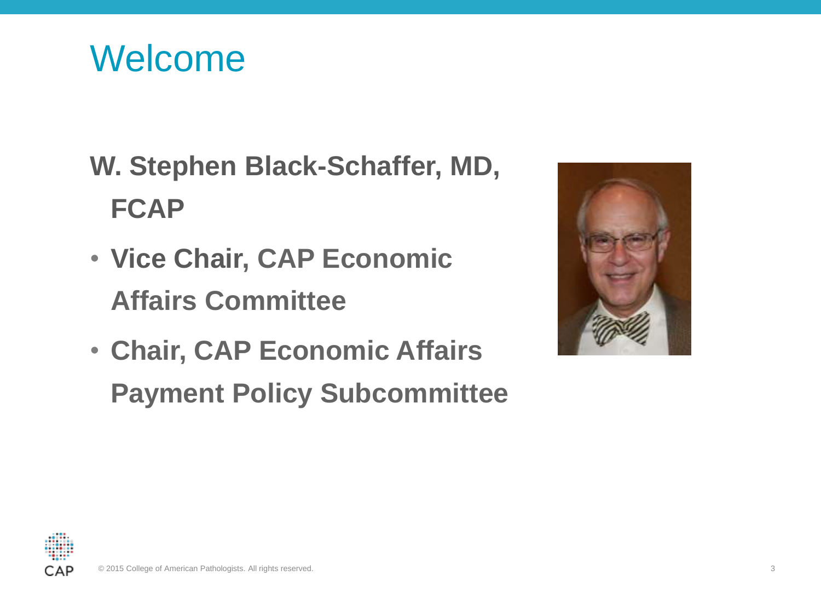### Welcome

### **W. Stephen Black-Schaffer, MD, FCAP**

- **Vice Chair, CAP Economic Affairs Committee**
- **Chair, CAP Economic Affairs Payment Policy Subcommittee**



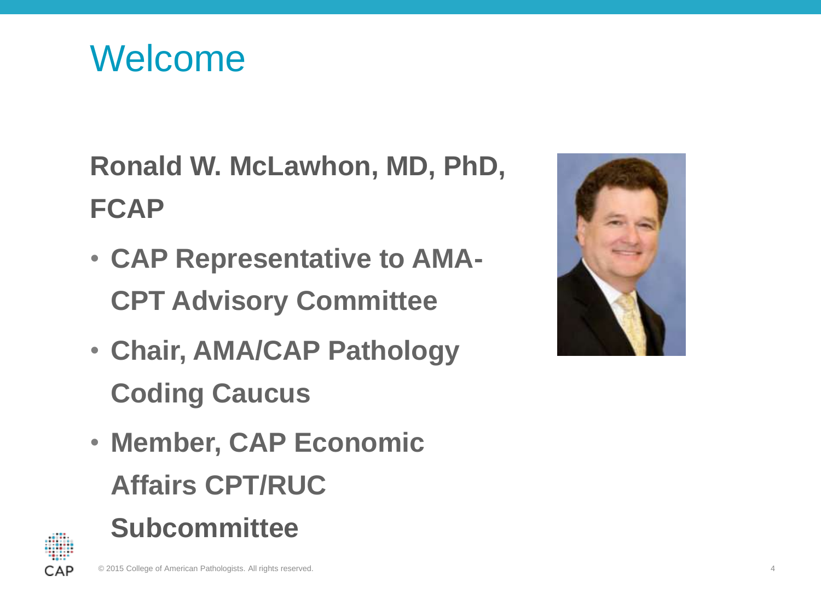### Welcome

**Ronald W. McLawhon, MD, PhD, FCAP**

- **CAP Representative to AMA-CPT Advisory Committee**
- **Chair, AMA/CAP Pathology Coding Caucus**
- **Member, CAP Economic Affairs CPT/RUC** 
	- **Subcommittee**



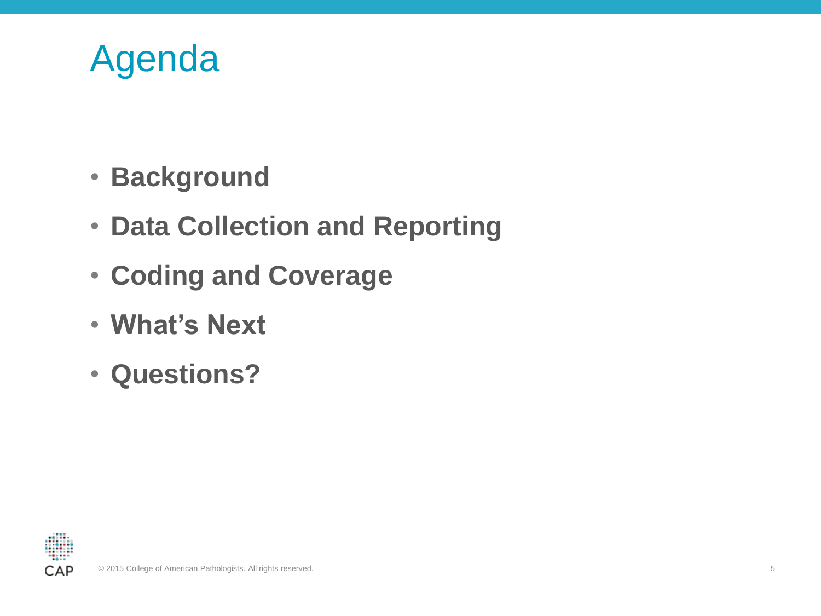### Agenda

- **Background**
- **Data Collection and Reporting**
- **Coding and Coverage**
- **What's Next**
- **Questions?**

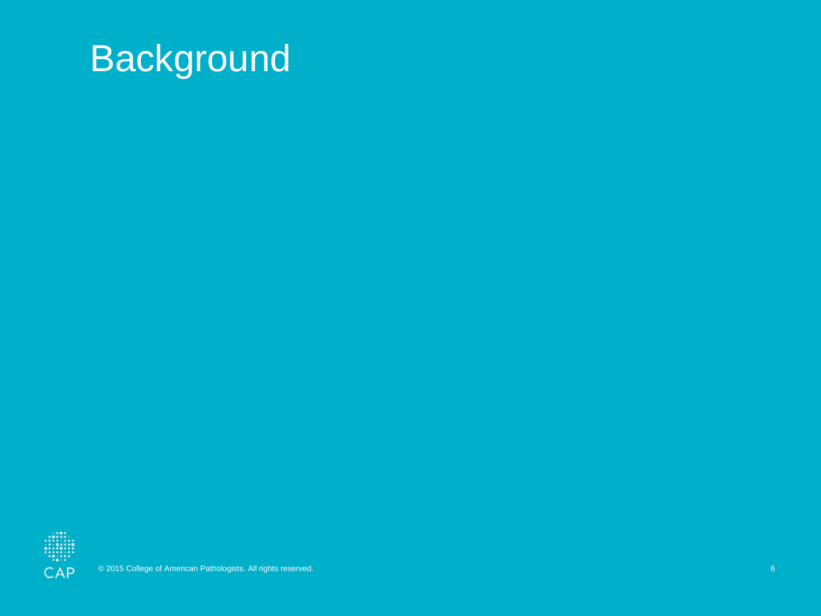## Background

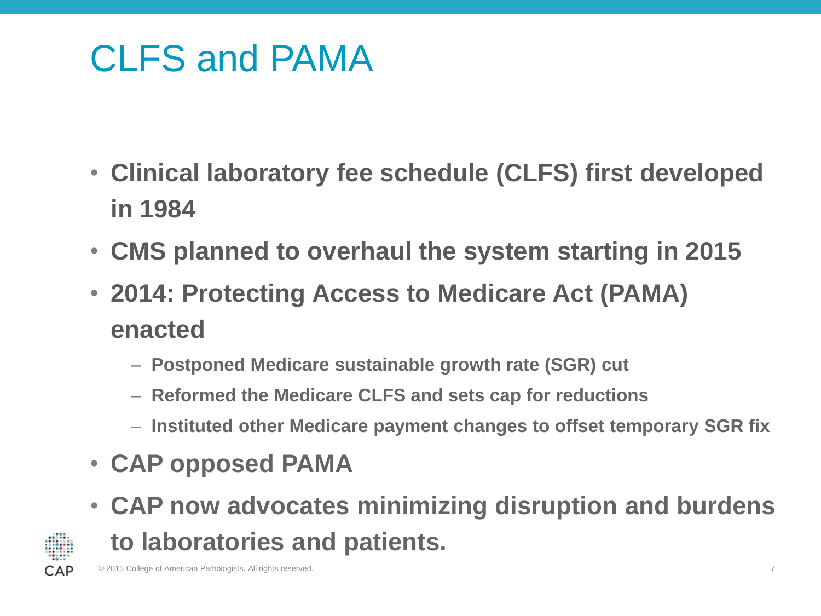### CLFS and PAMA

- **Clinical laboratory fee schedule (CLFS) first developed in 1984**
- **CMS planned to overhaul the system starting in 2015**
- **2014: Protecting Access to Medicare Act (PAMA) enacted**
	- **Postponed Medicare sustainable growth rate (SGR) cut**
	- **Reformed the Medicare CLFS and sets cap for reductions**
	- **Instituted other Medicare payment changes to offset temporary SGR fix**
- **CAP opposed PAMA**
- **CAP now advocates minimizing disruption and burdens to laboratories and patients.**

© 2015 College of American Pathologists. All rights reserved. 7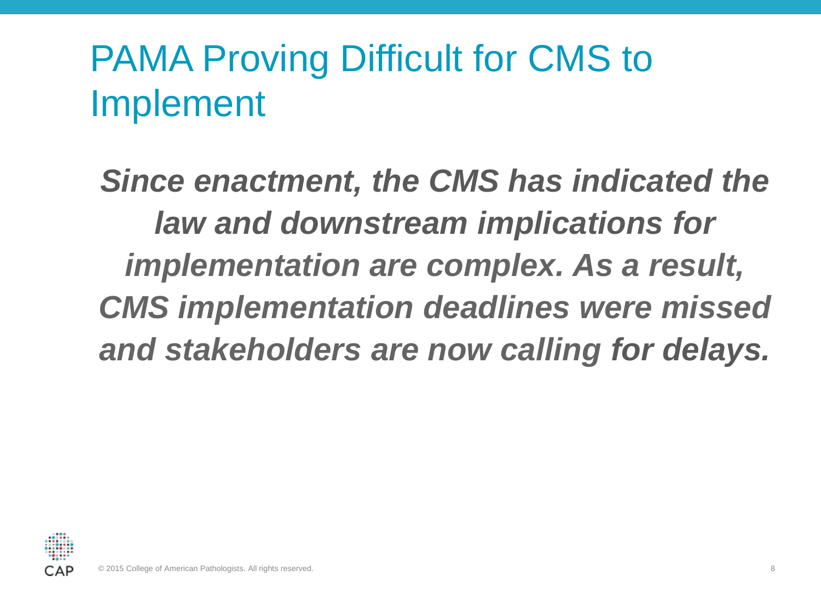## PAMA Proving Difficult for CMS to Implement

*Since enactment, the CMS has indicated the law and downstream implications for implementation are complex. As a result, CMS implementation deadlines were missed and stakeholders are now calling for delays.* 

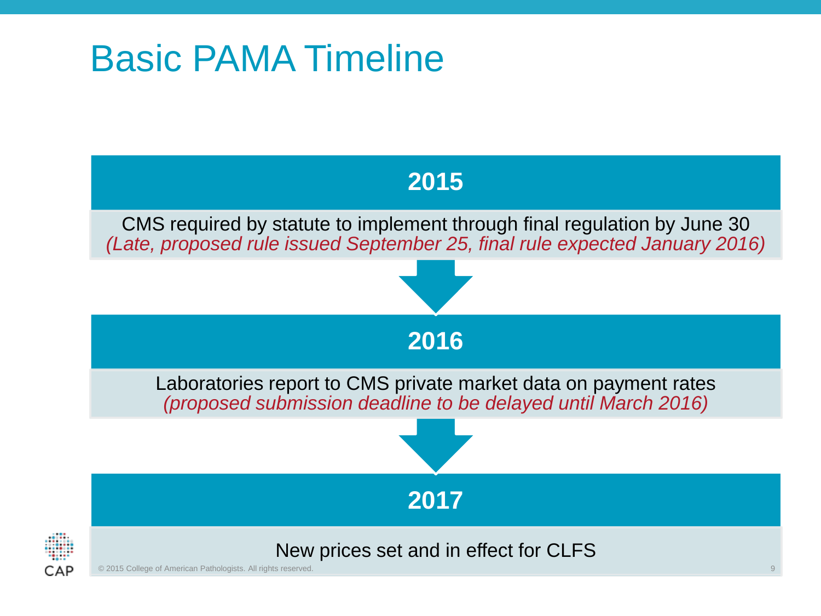### Basic PAMA Timeline

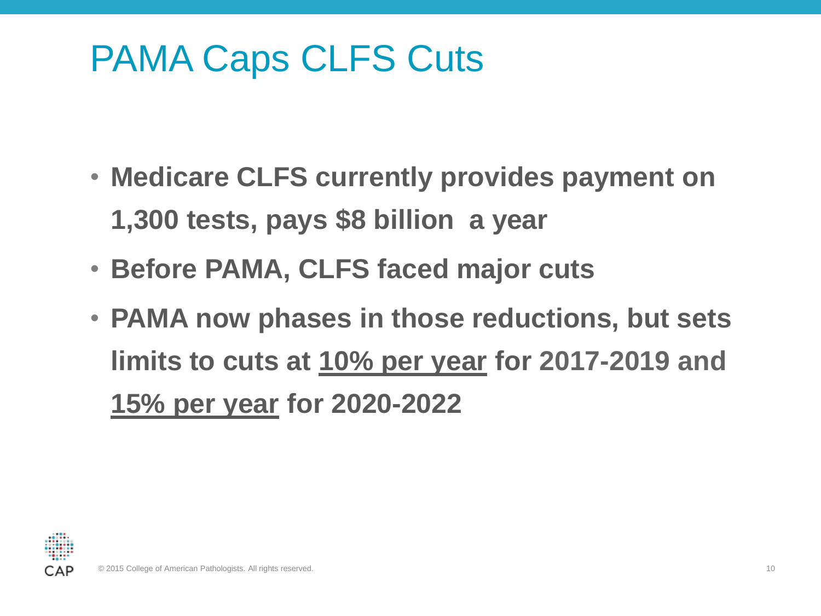### PAMA Caps CLFS Cuts

- **Medicare CLFS currently provides payment on 1,300 tests, pays \$8 billion a year**
- **Before PAMA, CLFS faced major cuts**
- **PAMA now phases in those reductions, but sets limits to cuts at 10% per year for 2017-2019 and 15% per year for 2020-2022**

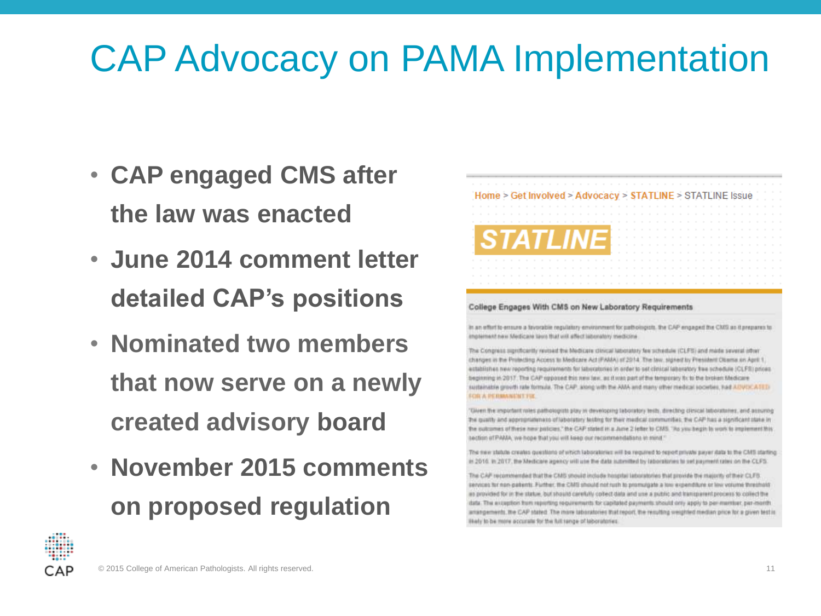### CAP Advocacy on PAMA Implementation

- **CAP engaged CMS after the law was enacted**
- **June 2014 comment letter detailed CAP's positions**
- **Nominated two members that now serve on a newly created advisory board**
- **November 2015 comments on proposed regulation**

|  |  |  |  |  |  |  |  |  |  |  |  |  |  |  |  |  |  | Home > Get Involved > Advocacy > STATLINE > STATLINE Issue      |  |  |
|--|--|--|--|--|--|--|--|--|--|--|--|--|--|--|--|--|--|-----------------------------------------------------------------|--|--|
|  |  |  |  |  |  |  |  |  |  |  |  |  |  |  |  |  |  |                                                                 |  |  |
|  |  |  |  |  |  |  |  |  |  |  |  |  |  |  |  |  |  |                                                                 |  |  |
|  |  |  |  |  |  |  |  |  |  |  |  |  |  |  |  |  |  |                                                                 |  |  |
|  |  |  |  |  |  |  |  |  |  |  |  |  |  |  |  |  |  | the contract of the contract of the contract of the contract of |  |  |
|  |  |  |  |  |  |  |  |  |  |  |  |  |  |  |  |  |  | <b>STATLINE</b>                                                 |  |  |
|  |  |  |  |  |  |  |  |  |  |  |  |  |  |  |  |  |  |                                                                 |  |  |
|  |  |  |  |  |  |  |  |  |  |  |  |  |  |  |  |  |  |                                                                 |  |  |
|  |  |  |  |  |  |  |  |  |  |  |  |  |  |  |  |  |  |                                                                 |  |  |
|  |  |  |  |  |  |  |  |  |  |  |  |  |  |  |  |  |  |                                                                 |  |  |
|  |  |  |  |  |  |  |  |  |  |  |  |  |  |  |  |  |  |                                                                 |  |  |
|  |  |  |  |  |  |  |  |  |  |  |  |  |  |  |  |  |  |                                                                 |  |  |

### College Engages With CMS on New Laboratory Requirements

In an effort to ensure a favorable regulatory environment for pathologists. The CAP engaged the CMS as it prepares to implement new Medicare laws that will affect laboratory medicine

The Congress significantly restead the Medicare direct laboratory fee schedule (CLFS) and made several often changes in the Primiding Access to Medicare Act (PAMA) of 2014. The law, signed by President Oliama on April 1. establishes new reporting requirements for laboratories in order to set circual laboratory free schedule (CLFR) prices. beginning in 2017. The CAP opposed this new tex, as it was part of the temporary fix to the broken Medicare. sustainable growth rate formula. The CAP jaterg with the AMA and many other medical societies, had ADVIX ATED FOR A PERMANENT FIX.

"Given the important rales pathologists play in developing laboratory tests, directing clinical laboratories, and assumeg. The quality and appropriationato of laboratory testing for their medical communities. The CAP has a significant state in the outcomes of these new paticizes," the CAP stated in a June 2 (efter to CMS. "As you hegin to work to implement this." bection of PAMA, we hope that you will keep our recommendations in mind."

The new statute creates questions of which laborateries will be required to report private payer data to the CMS starting in 2016. In 2017, the Medicare agency will use the data submitted by (aboratories to set payment rates on the CLFS.

The CAP recommended that the CMS should include hospital laboratories that provide the majority of their CLFS. services for non-patents. Further, the CMS should not rush to promulgate a low expenditure or low volume threshold. as provided for in the statue, but should carefully collect data and use a public and transparent process to collect the data. The exception from reporting requirements for capitated payments should driv apply to per-member, per-month. arrangements. Be CAP stated. The more laboratories that report, the resulting weighted median price for a given test is litely to be more accurate for the full range of taboratories.

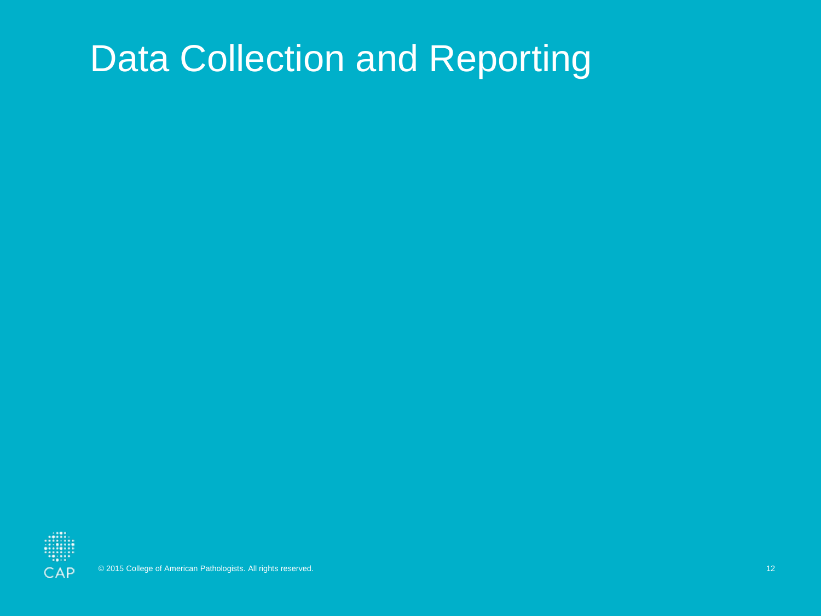### Data Collection and Reporting

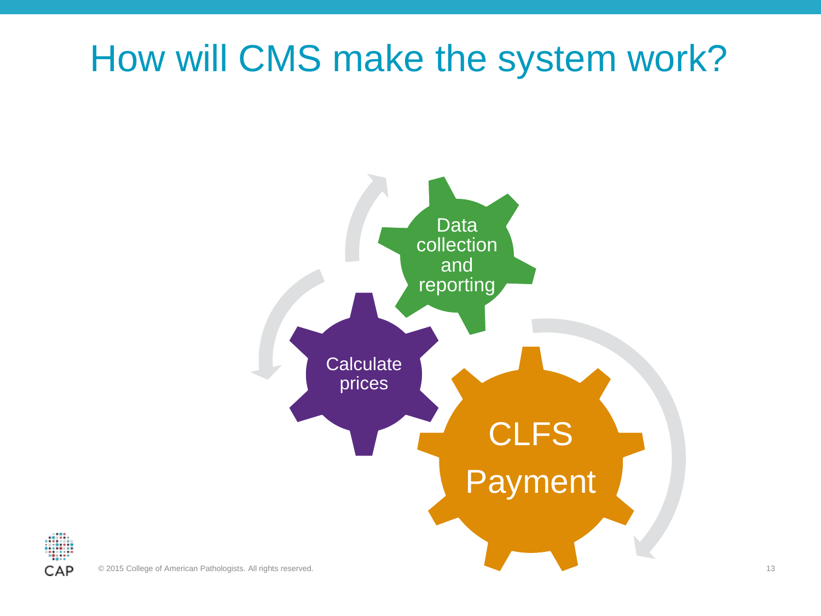### How will CMS make the system work?



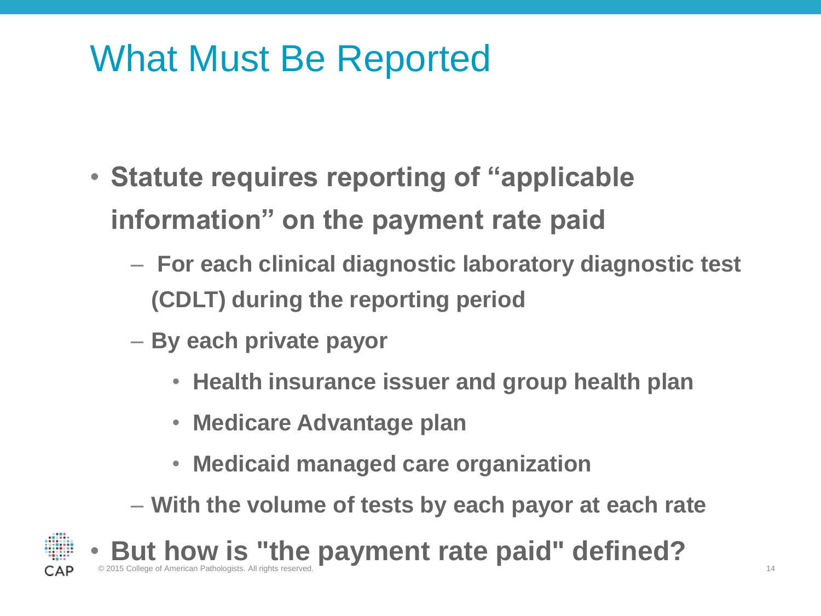### What Must Be Reported

- **Statute requires reporting of "applicable information" on the payment rate paid**
	- **For each clinical diagnostic laboratory diagnostic test (CDLT) during the reporting period**
	- **By each private payor**
		- **Health insurance issuer and group health plan**
		- **Medicare Advantage plan**
		- **Medicaid managed care organization**
	- **With the volume of tests by each payor at each rate**



**But how is "the payment rate paid" defined? College** of American Pathologists. All rights reserved.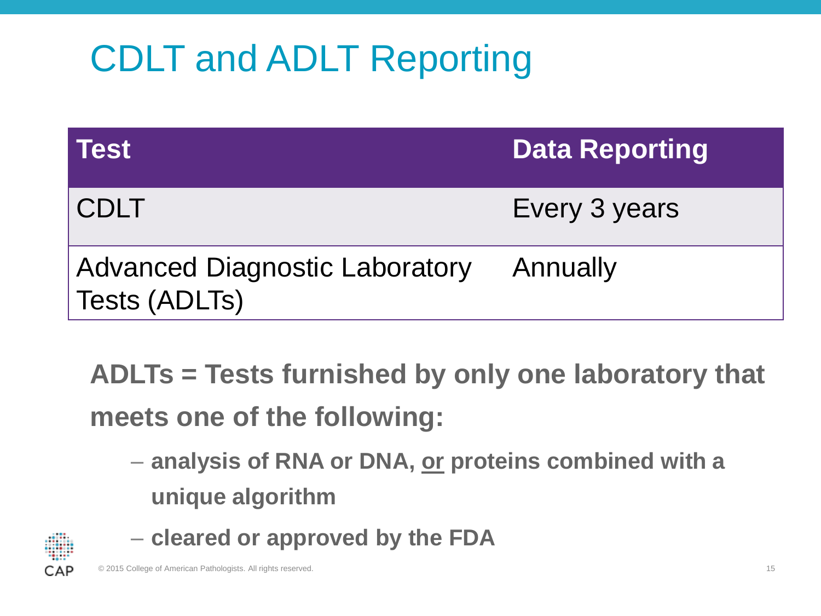# CDLT and ADLT Reporting

| <b>Test</b>                                                   | <b>Data Reporting</b> |
|---------------------------------------------------------------|-----------------------|
| CDLT                                                          | Every 3 years         |
| <b>Advanced Diagnostic Laboratory</b><br><b>Tests (ADLTs)</b> | Annually              |

**ADLTs = Tests furnished by only one laboratory that meets one of the following:**

– **analysis of RNA or DNA, or proteins combined with a unique algorithm**



– **cleared or approved by the FDA**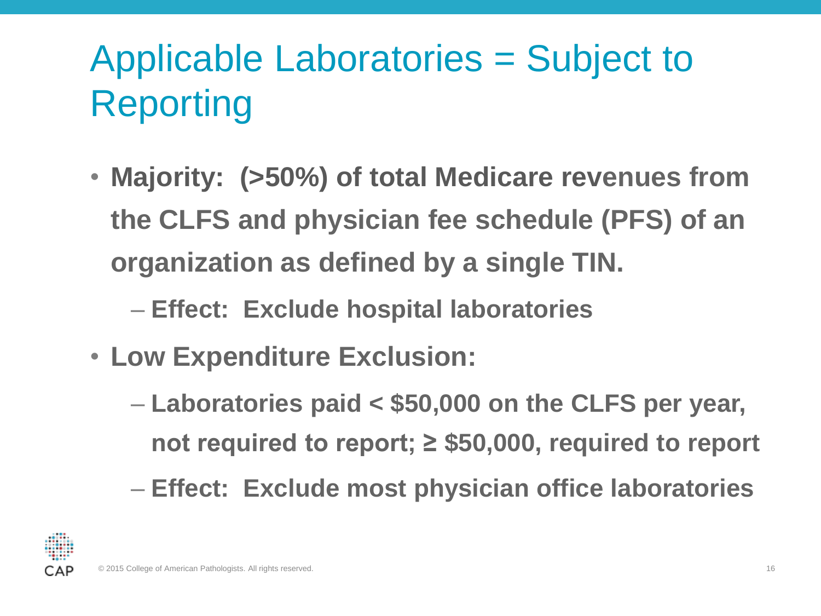## Applicable Laboratories = Subject to Reporting

- **Majority: (>50%) of total Medicare revenues from the CLFS and physician fee schedule (PFS) of an organization as defined by a single TIN.**
	- **Effect: Exclude hospital laboratories**
- **Low Expenditure Exclusion:**
	- **Laboratories paid < \$50,000 on the CLFS per year, not required to report; ≥ \$50,000, required to report**
	- **Effect: Exclude most physician office laboratories**

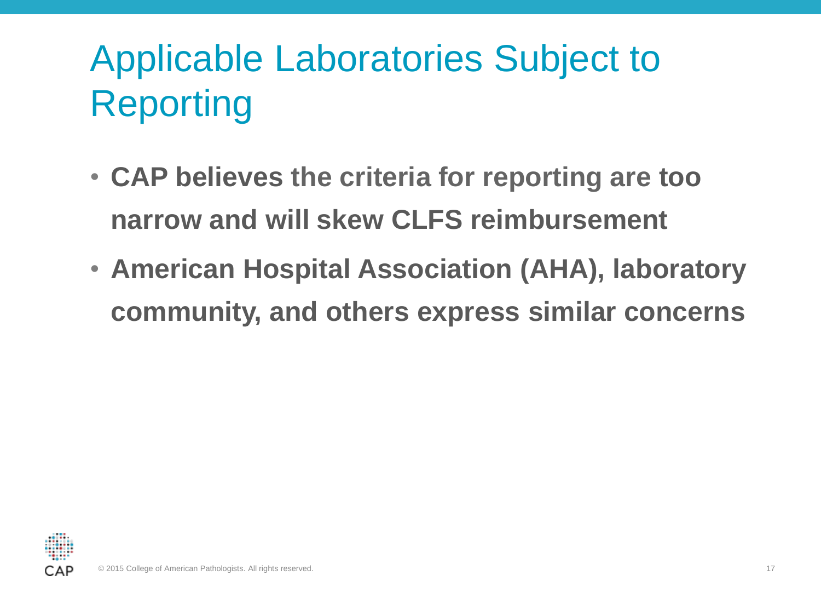## Applicable Laboratories Subject to Reporting

- **CAP believes the criteria for reporting are too narrow and will skew CLFS reimbursement**
- **American Hospital Association (AHA), laboratory community, and others express similar concerns**

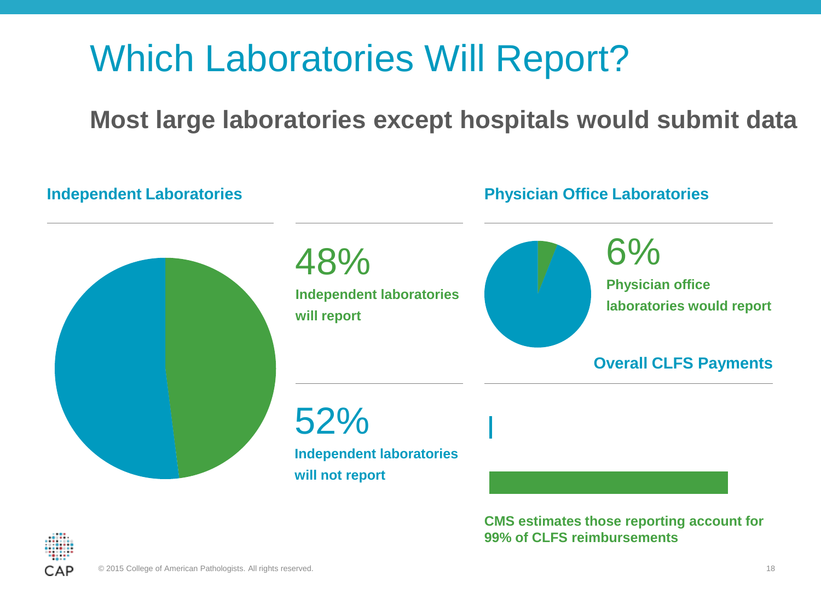### Which Laboratories Will Report?

### **Most large laboratories except hospitals would submit data**

### **Independent Laboratories Physician Office Laboratories**





**Independent laboratories will report**

### 6% **Physician office laboratories would report**

### **Overall CLFS Payments**

52%

**Independent laboratories will not report**

> **CMS estimates those reporting account for 99% of CLFS reimbursements**

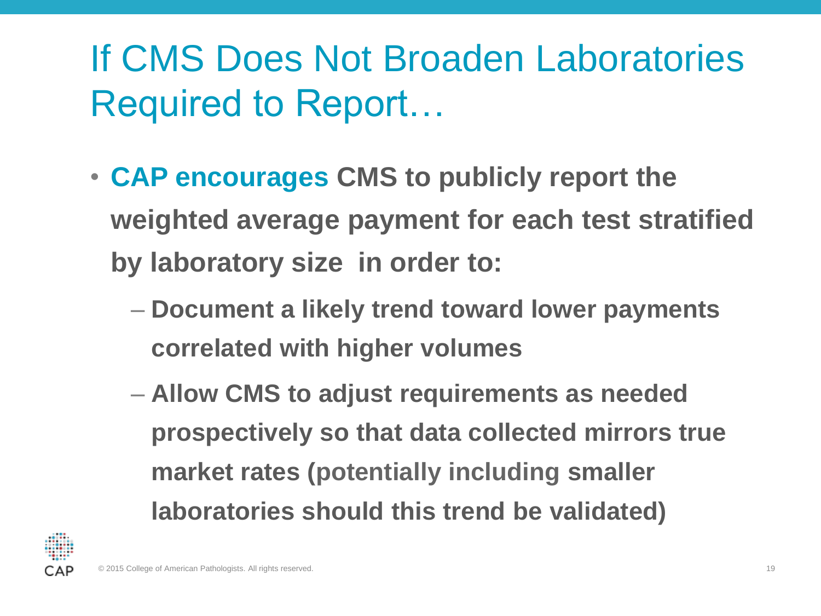## If CMS Does Not Broaden Laboratories Required to Report…

- **CAP encourages CMS to publicly report the weighted average payment for each test stratified by laboratory size in order to:**
	- **Document a likely trend toward lower payments correlated with higher volumes**
	- **Allow CMS to adjust requirements as needed prospectively so that data collected mirrors true market rates (potentially including smaller laboratories should this trend be validated)**

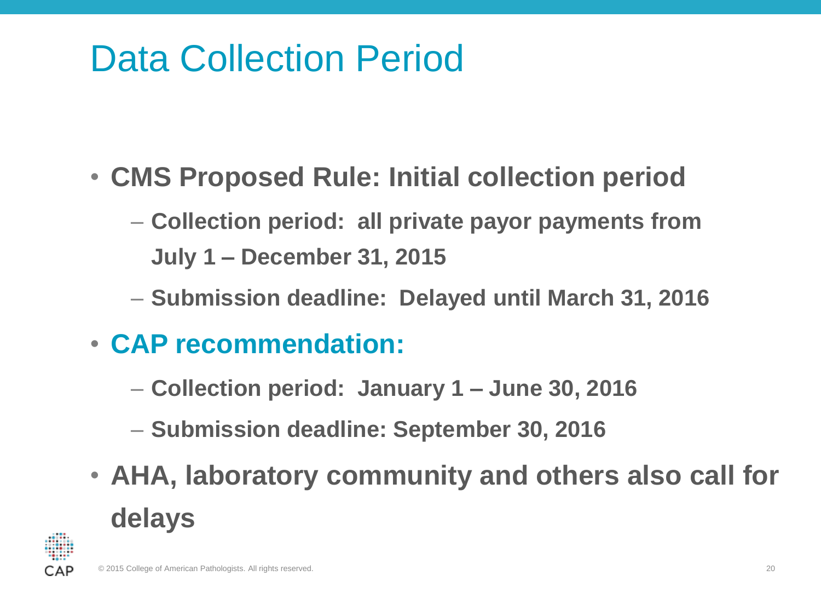### Data Collection Period

- **CMS Proposed Rule: Initial collection period**
	- **Collection period: all private payor payments from July 1 – December 31, 2015**
	- **Submission deadline: Delayed until March 31, 2016**
- **CAP recommendation:**
	- **Collection period: January 1 – June 30, 2016**
	- **Submission deadline: September 30, 2016**
- **AHA, laboratory community and others also call for delays**

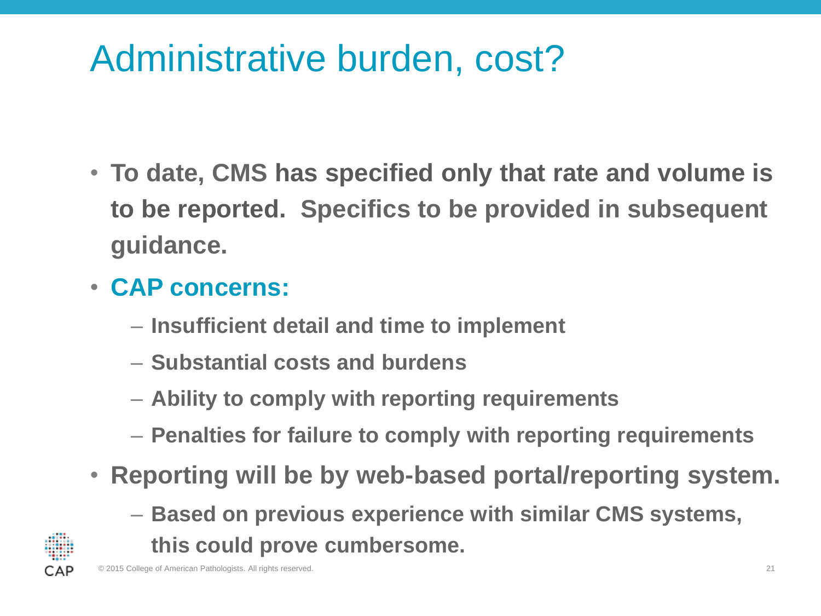### Administrative burden, cost?

- **To date, CMS has specified only that rate and volume is to be reported. Specifics to be provided in subsequent guidance.**
- **CAP concerns:**
	- **Insufficient detail and time to implement**
	- **Substantial costs and burdens**
	- **Ability to comply with reporting requirements**
	- **Penalties for failure to comply with reporting requirements**
- **Reporting will be by web-based portal/reporting system.** 
	- **Based on previous experience with similar CMS systems,**



**this could prove cumbersome.**

© 2015 College of American Pathologists. All rights reserved. 21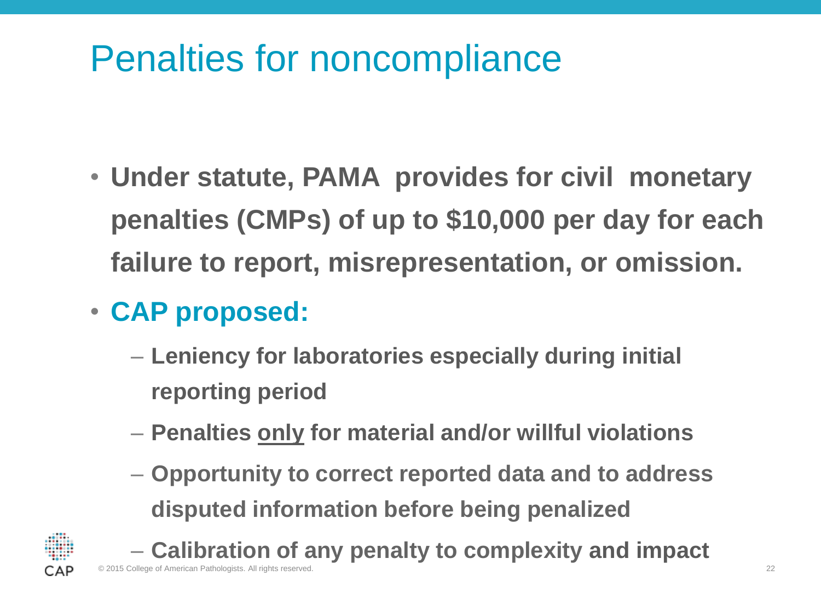### Penalties for noncompliance

- **Under statute, PAMA provides for civil monetary penalties (CMPs) of up to \$10,000 per day for each failure to report, misrepresentation, or omission.**
- **CAP proposed:**
	- **Leniency for laboratories especially during initial reporting period**
	- **Penalties only for material and/or willful violations**
	- **Opportunity to correct reported data and to address disputed information before being penalized**



– **Calibration of any penalty to complexity and impact**

© 2015 College of American Pathologists. All rights reserved. 22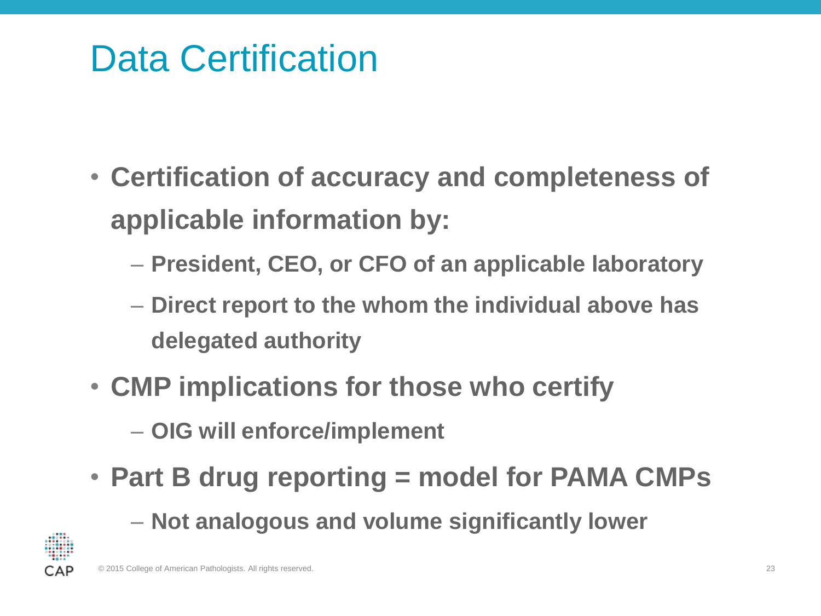### Data Certification

- **Certification of accuracy and completeness of applicable information by:**
	- **President, CEO, or CFO of an applicable laboratory**
	- **Direct report to the whom the individual above has delegated authority**
- **CMP implications for those who certify**
	- **OIG will enforce/implement**
- **Part B drug reporting = model for PAMA CMPs**

– **Not analogous and volume significantly lower**

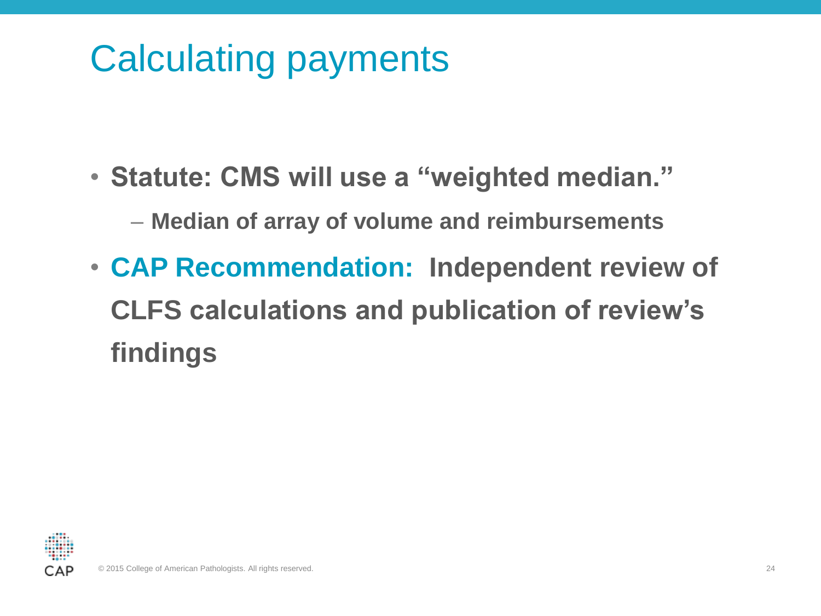### Calculating payments

- **Statute: CMS will use a "weighted median."**
	- **Median of array of volume and reimbursements**
- **CAP Recommendation: Independent review of CLFS calculations and publication of review's findings**

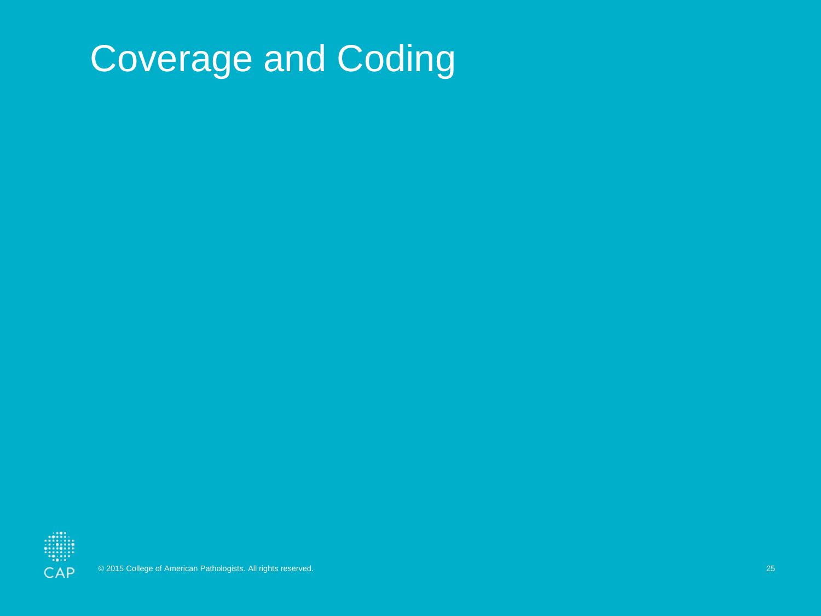## Coverage and Coding

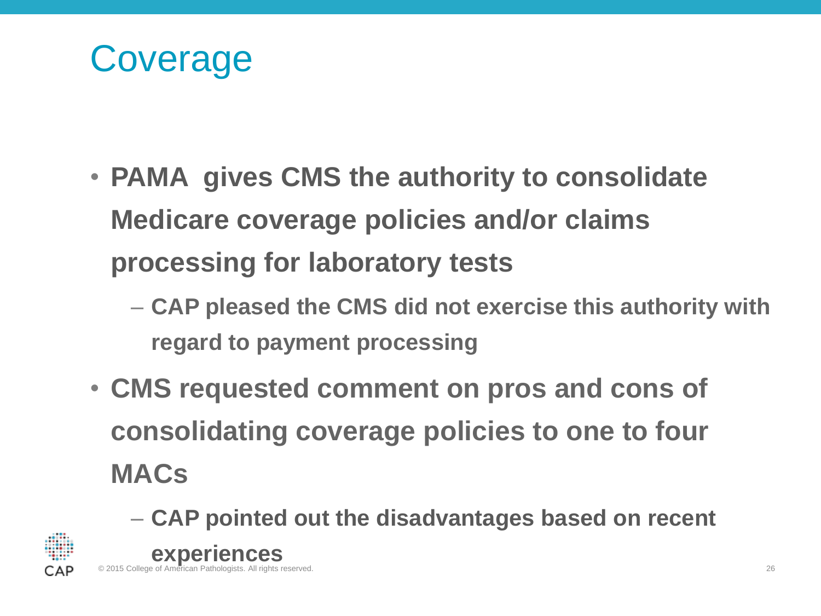

- **PAMA gives CMS the authority to consolidate Medicare coverage policies and/or claims processing for laboratory tests**
	- **CAP pleased the CMS did not exercise this authority with regard to payment processing**
- **CMS requested comment on pros and cons of consolidating coverage policies to one to four MACs**
	- **CAP pointed out the disadvantages based on recent**



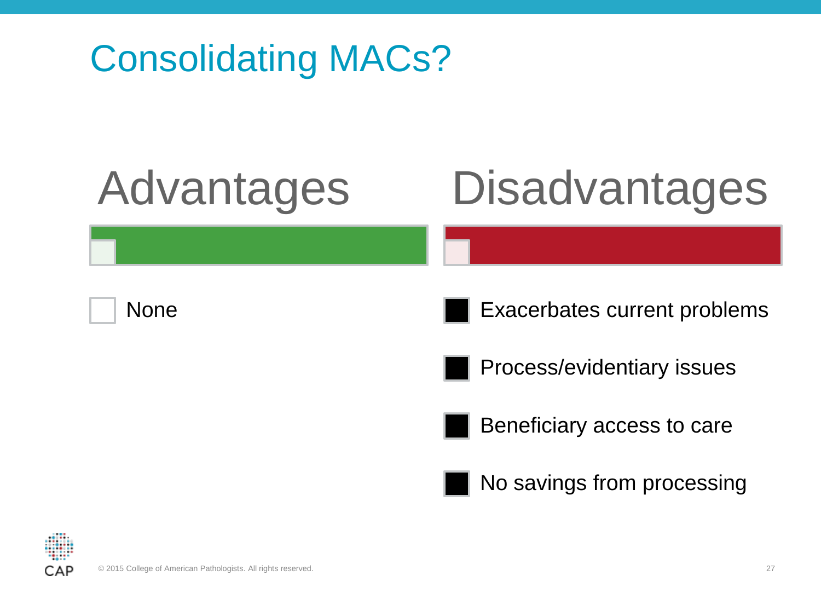

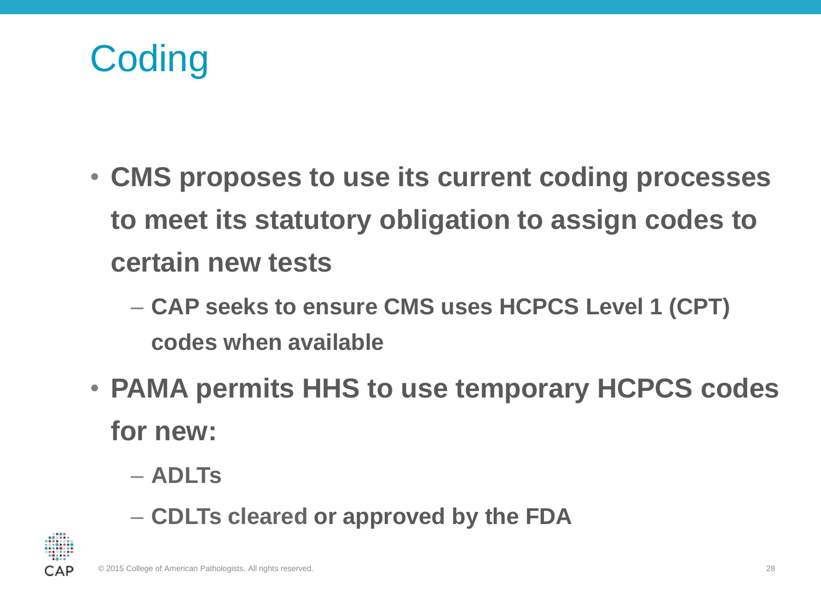

- **CMS proposes to use its current coding processes to meet its statutory obligation to assign codes to certain new tests**
	- **CAP seeks to ensure CMS uses HCPCS Level 1 (CPT) codes when available**
- **PAMA permits HHS to use temporary HCPCS codes for new:**
	- **ADLTs**
	- **CDLTs cleared or approved by the FDA**

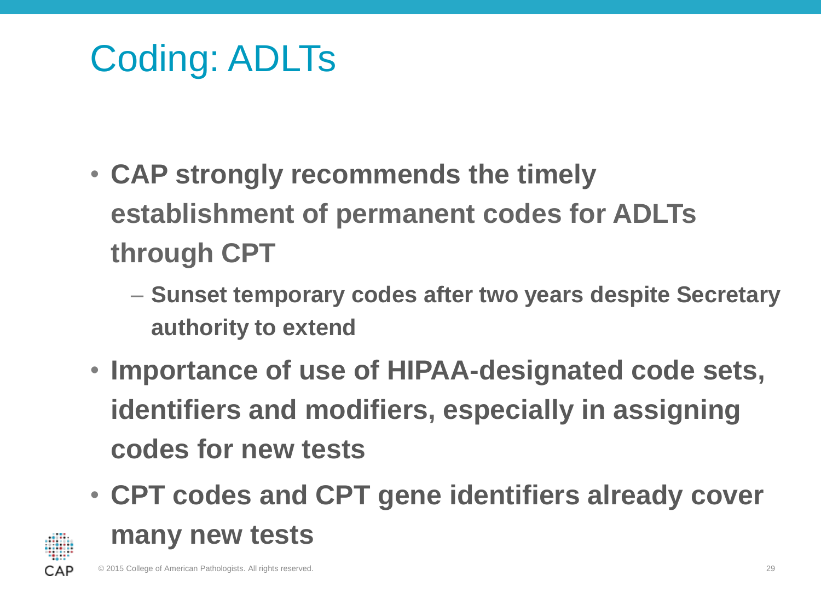Coding: ADLTs

- **CAP strongly recommends the timely establishment of permanent codes for ADLTs through CPT**
	- **Sunset temporary codes after two years despite Secretary authority to extend**
- **Importance of use of HIPAA-designated code sets, identifiers and modifiers, especially in assigning codes for new tests**
- **CPT codes and CPT gene identifiers already cover many new tests**

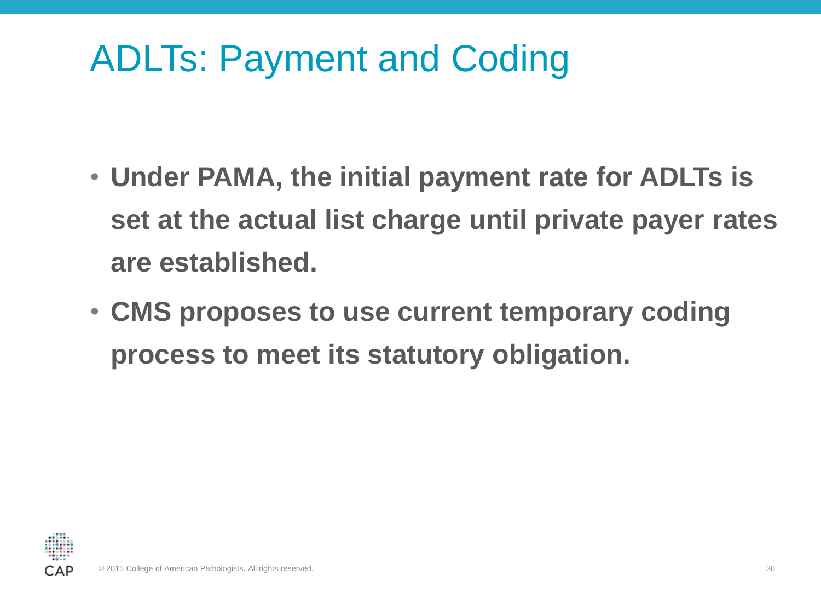### ADLTs: Payment and Coding

- **Under PAMA, the initial payment rate for ADLTs is set at the actual list charge until private payer rates are established.**
- **CMS proposes to use current temporary coding process to meet its statutory obligation.**

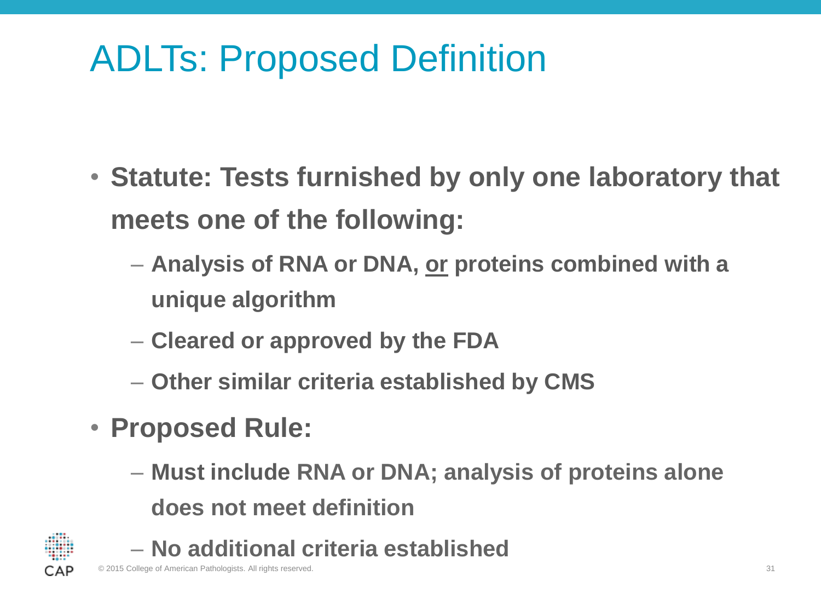## ADLTs: Proposed Definition

- **Statute: Tests furnished by only one laboratory that meets one of the following:**
	- **Analysis of RNA or DNA, or proteins combined with a unique algorithm**
	- **Cleared or approved by the FDA**
	- **Other similar criteria established by CMS**
- **Proposed Rule:**
	- **Must include RNA or DNA; analysis of proteins alone does not meet definition**



– **No additional criteria established**

© 2015 College of American Pathologists. All rights reserved. 31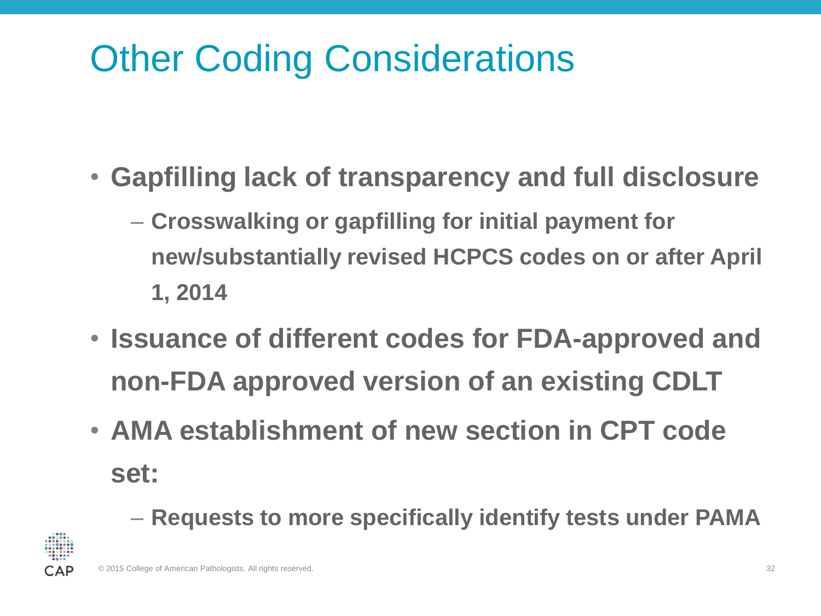### Other Coding Considerations

- **Gapfilling lack of transparency and full disclosure**
	- **Crosswalking or gapfilling for initial payment for new/substantially revised HCPCS codes on or after April 1, 2014**
- **Issuance of different codes for FDA-approved and non-FDA approved version of an existing CDLT**
- **AMA establishment of new section in CPT code set:** 
	- **Requests to more specifically identify tests under PAMA**

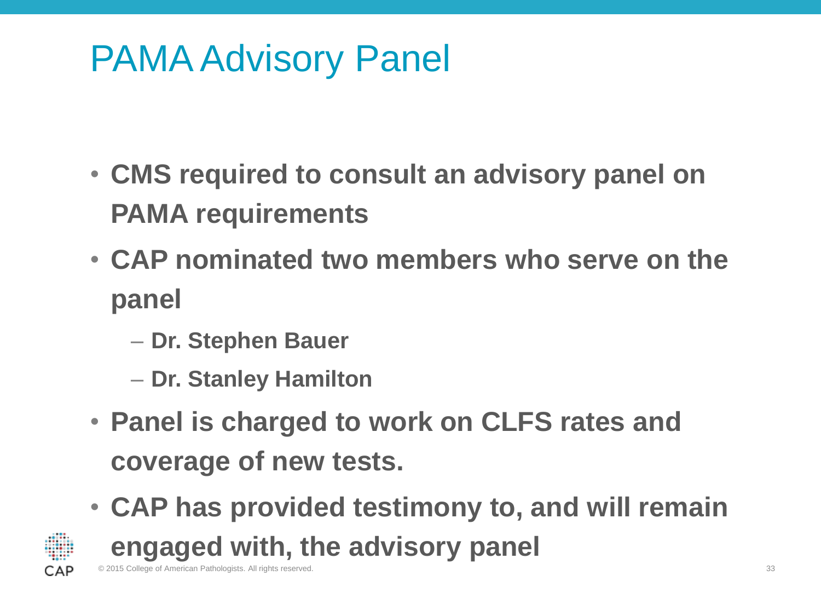### PAMA Advisory Panel

- **CMS required to consult an advisory panel on PAMA requirements**
- **CAP nominated two members who serve on the panel**
	- **Dr. Stephen Bauer**
	- **Dr. Stanley Hamilton**
- **Panel is charged to work on CLFS rates and coverage of new tests.**
- **CAP has provided testimony to, and will remain engaged with, the advisory panel**

© 2015 College of American Pathologists. All rights reserved. 33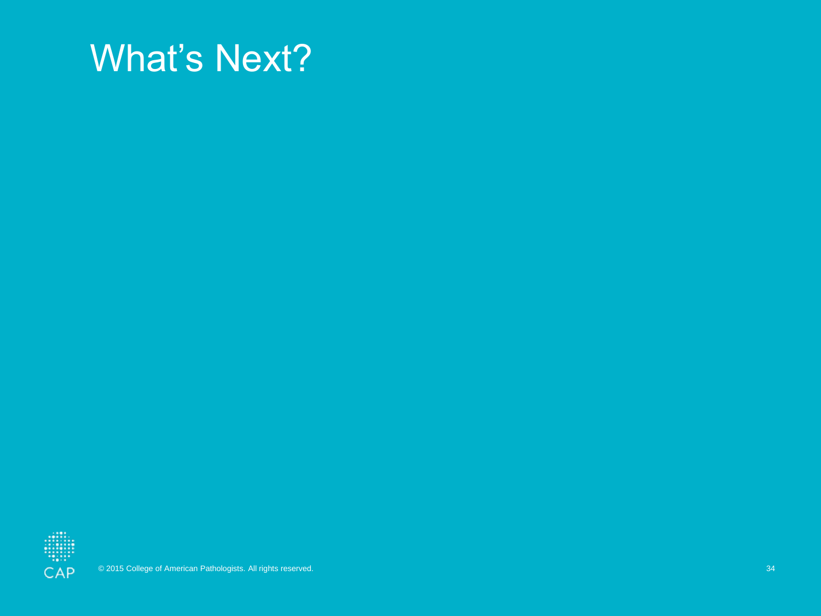

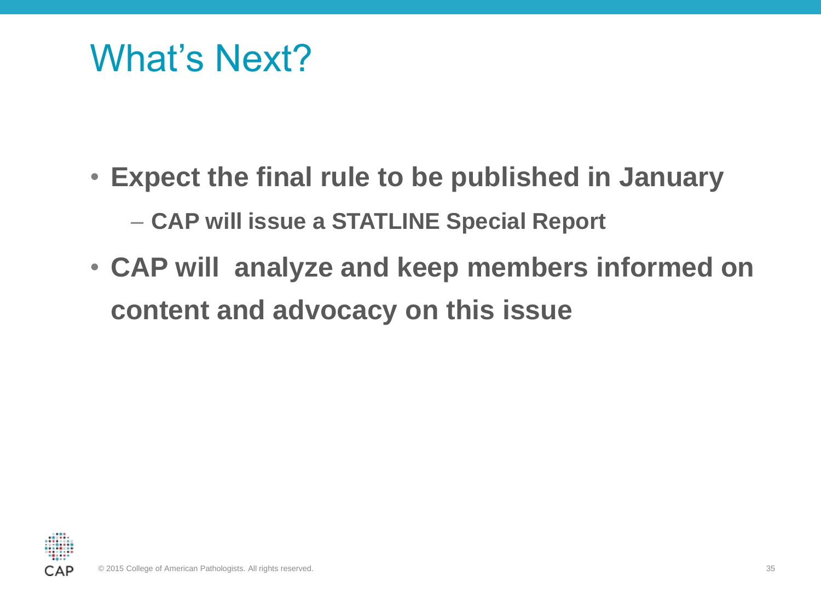### What's Next?

- **Expect the final rule to be published in January**
	- **CAP will issue a STATLINE Special Report**
- **CAP will analyze and keep members informed on content and advocacy on this issue**

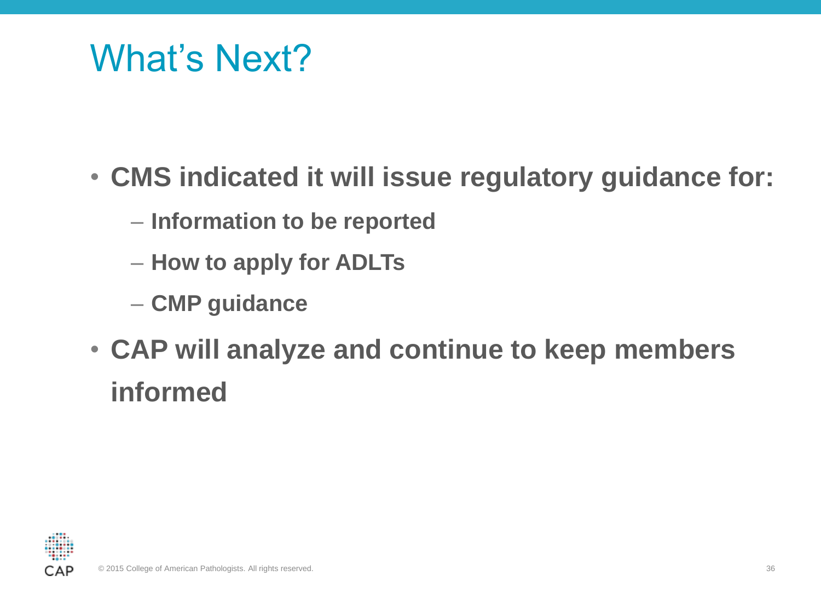### What's Next?

- **CMS indicated it will issue regulatory guidance for:**
	- **Information to be reported**
	- **How to apply for ADLTs**
	- **CMP guidance**
- **CAP will analyze and continue to keep members informed**

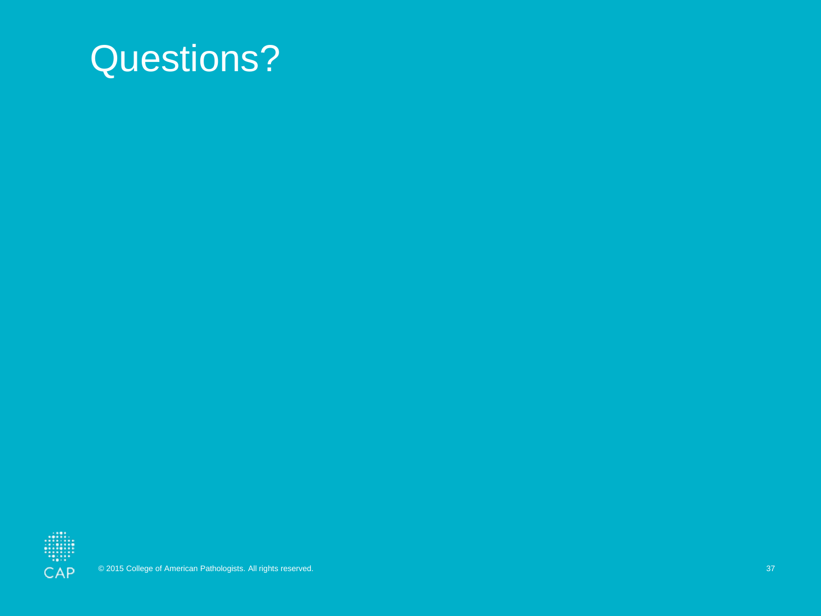

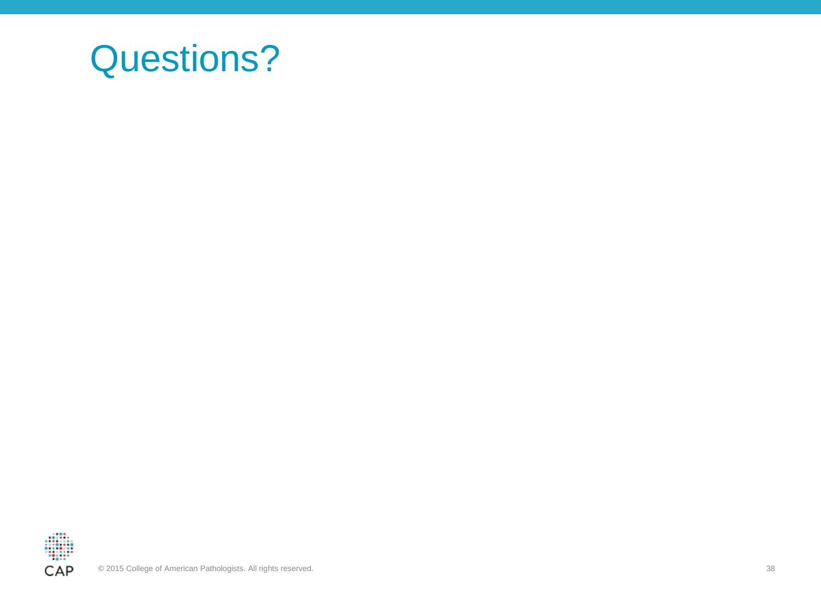